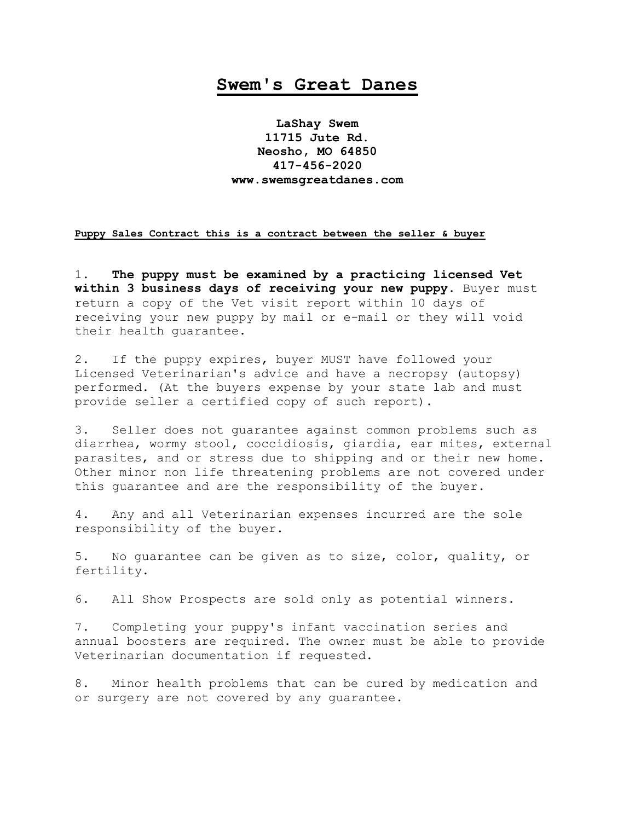## **Swem's Great Danes**

**LaShay Swem 11715 Jute Rd. Neosho, MO 64850 417-456-2020 www.swemsgreatdanes.com**

## **Puppy Sales Contract this is a contract between the seller & buyer**

1. **The puppy must be examined by a practicing licensed Vet within 3 business days of receiving your new puppy**. Buyer must return a copy of the Vet visit report within 10 days of receiving your new puppy by mail or e-mail or they will void their health guarantee.

2. If the puppy expires, buyer MUST have followed your Licensed Veterinarian's advice and have a necropsy (autopsy) performed. (At the buyers expense by your state lab and must provide seller a certified copy of such report).

3. Seller does not guarantee against common problems such as diarrhea, wormy stool, coccidiosis, giardia, ear mites, external parasites, and or stress due to shipping and or their new home. Other minor non life threatening problems are not covered under this guarantee and are the responsibility of the buyer.

4. Any and all Veterinarian expenses incurred are the sole responsibility of the buyer.

5. No guarantee can be given as to size, color, quality, or fertility.

6. All Show Prospects are sold only as potential winners.

7. Completing your puppy's infant vaccination series and annual boosters are required. The owner must be able to provide Veterinarian documentation if requested.

8. Minor health problems that can be cured by medication and or surgery are not covered by any guarantee.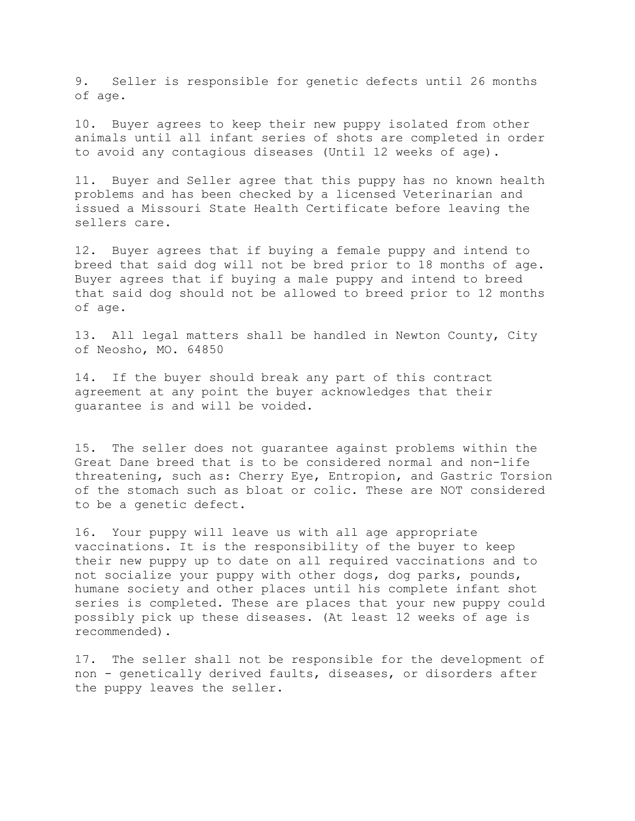9. Seller is responsible for genetic defects until 26 months of age.

10. Buyer agrees to keep their new puppy isolated from other animals until all infant series of shots are completed in order to avoid any contagious diseases (Until 12 weeks of age).

11. Buyer and Seller agree that this puppy has no known health problems and has been checked by a licensed Veterinarian and issued a Missouri State Health Certificate before leaving the sellers care.

12. Buyer agrees that if buying a female puppy and intend to breed that said dog will not be bred prior to 18 months of age. Buyer agrees that if buying a male puppy and intend to breed that said dog should not be allowed to breed prior to 12 months of age.

13. All legal matters shall be handled in Newton County, City of Neosho, MO. 64850

14. If the buyer should break any part of this contract agreement at any point the buyer acknowledges that their guarantee is and will be voided.

15. The seller does not guarantee against problems within the Great Dane breed that is to be considered normal and non-life threatening, such as: Cherry Eye, Entropion, and Gastric Torsion of the stomach such as bloat or colic. These are NOT considered to be a genetic defect.

16. Your puppy will leave us with all age appropriate vaccinations. It is the responsibility of the buyer to keep their new puppy up to date on all required vaccinations and to not socialize your puppy with other dogs, dog parks, pounds, humane society and other places until his complete infant shot series is completed. These are places that your new puppy could possibly pick up these diseases. (At least 12 weeks of age is recommended).

17. The seller shall not be responsible for the development of non - genetically derived faults, diseases, or disorders after the puppy leaves the seller.